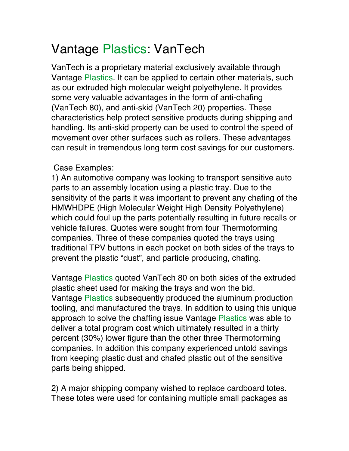## Vantage Plastics: VanTech

VanTech is a proprietary material exclusively available through Vantage Plastics. It can be applied to certain other materials, such as our extruded high molecular weight polyethylene. It provides some very valuable advantages in the form of anti-chafing (VanTech 80), and anti-skid (VanTech 20) properties. These characteristics help protect sensitive products during shipping and handling. Its anti-skid property can be used to control the speed of movement over other surfaces such as rollers. These advantages can result in tremendous long term cost savings for our customers.

## Case Examples:

1) An automotive company was looking to transport sensitive auto parts to an assembly location using a plastic tray. Due to the sensitivity of the parts it was important to prevent any chafing of the HMWHDPE (High Molecular Weight High Density Polyethylene) which could foul up the parts potentially resulting in future recalls or vehicle failures. Quotes were sought from four Thermoforming companies. Three of these companies quoted the trays using traditional TPV buttons in each pocket on both sides of the trays to prevent the plastic "dust", and particle producing, chafing.

Vantage Plastics quoted VanTech 80 on both sides of the extruded plastic sheet used for making the trays and won the bid. Vantage Plastics subsequently produced the aluminum production tooling, and manufactured the trays. In addition to using this unique approach to solve the chaffing issue Vantage Plastics was able to deliver a total program cost which ultimately resulted in a thirty percent (30%) lower figure than the other three Thermoforming companies. In addition this company experienced untold savings from keeping plastic dust and chafed plastic out of the sensitive parts being shipped.

2) A major shipping company wished to replace cardboard totes. These totes were used for containing multiple small packages as